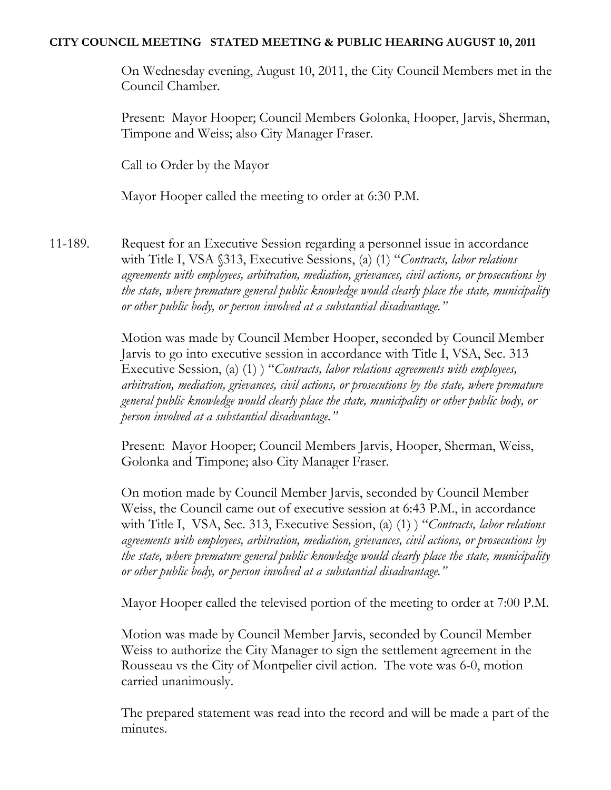## **CITY COUNCIL MEETING STATED MEETING & PUBLIC HEARING AUGUST 10, 2011**

On Wednesday evening, August 10, 2011, the City Council Members met in the Council Chamber.

Present: Mayor Hooper; Council Members Golonka, Hooper, Jarvis, Sherman, Timpone and Weiss; also City Manager Fraser.

Call to Order by the Mayor

Mayor Hooper called the meeting to order at 6:30 P.M.

11-189. Request for an Executive Session regarding a personnel issue in accordance with Title I, VSA §313, Executive Sessions, (a) (1) "*Contracts, labor relations agreements with employees, arbitration, mediation, grievances, civil actions, or prosecutions by the state, where premature general public knowledge would clearly place the state, municipality or other public body, or person involved at a substantial disadvantage."*

> Motion was made by Council Member Hooper, seconded by Council Member Jarvis to go into executive session in accordance with Title I, VSA, Sec. 313 Executive Session, (a) (1) ) "*Contracts, labor relations agreements with employees, arbitration, mediation, grievances, civil actions, or prosecutions by the state, where premature general public knowledge would clearly place the state, municipality or other public body, or person involved at a substantial disadvantage."*

Present: Mayor Hooper; Council Members Jarvis, Hooper, Sherman, Weiss, Golonka and Timpone; also City Manager Fraser.

On motion made by Council Member Jarvis, seconded by Council Member Weiss, the Council came out of executive session at 6:43 P.M., in accordance with Title I, VSA, Sec. 313, Executive Session, (a) (1) ) "*Contracts, labor relations agreements with employees, arbitration, mediation, grievances, civil actions, or prosecutions by the state, where premature general public knowledge would clearly place the state, municipality or other public body, or person involved at a substantial disadvantage."*

Mayor Hooper called the televised portion of the meeting to order at 7:00 P.M.

Motion was made by Council Member Jarvis, seconded by Council Member Weiss to authorize the City Manager to sign the settlement agreement in the Rousseau vs the City of Montpelier civil action. The vote was 6-0, motion carried unanimously.

The prepared statement was read into the record and will be made a part of the minutes.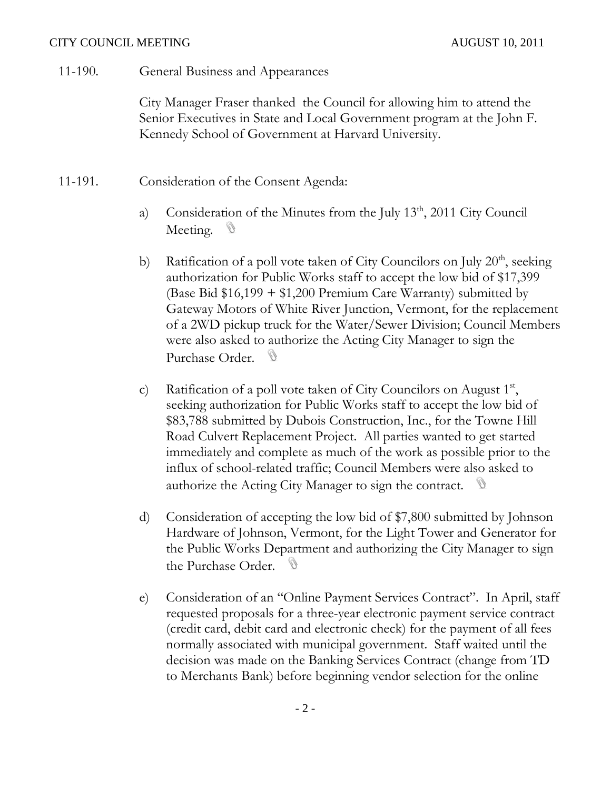11-190. General Business and Appearances

City Manager Fraser thanked the Council for allowing him to attend the Senior Executives in State and Local Government program at the John F. Kennedy School of Government at Harvard University.

- 11-191. Consideration of the Consent Agenda:
	- a) Consideration of the Minutes from the July 13<sup>th</sup>, 2011 City Council Meeting. <sup>10</sup>
	- b) Ratification of a poll vote taken of City Councilors on July  $20<sup>th</sup>$ , seeking authorization for Public Works staff to accept the low bid of \$17,399 (Base Bid  $$16,199 + $1,200$  Premium Care Warranty) submitted by Gateway Motors of White River Junction, Vermont, for the replacement of a 2WD pickup truck for the Water/Sewer Division; Council Members were also asked to authorize the Acting City Manager to sign the Purchase Order. D
	- c) Ratification of a poll vote taken of City Councilors on August 1st, seeking authorization for Public Works staff to accept the low bid of \$83,788 submitted by Dubois Construction, Inc., for the Towne Hill Road Culvert Replacement Project. All parties wanted to get started immediately and complete as much of the work as possible prior to the influx of school-related traffic; Council Members were also asked to authorize the Acting City Manager to sign the contract.
	- d) Consideration of accepting the low bid of \$7,800 submitted by Johnson Hardware of Johnson, Vermont, for the Light Tower and Generator for the Public Works Department and authorizing the City Manager to sign the Purchase Order.
	- e) Consideration of an "Online Payment Services Contract". In April, staff requested proposals for a three-year electronic payment service contract (credit card, debit card and electronic check) for the payment of all fees normally associated with municipal government. Staff waited until the decision was made on the Banking Services Contract (change from TD to Merchants Bank) before beginning vendor selection for the online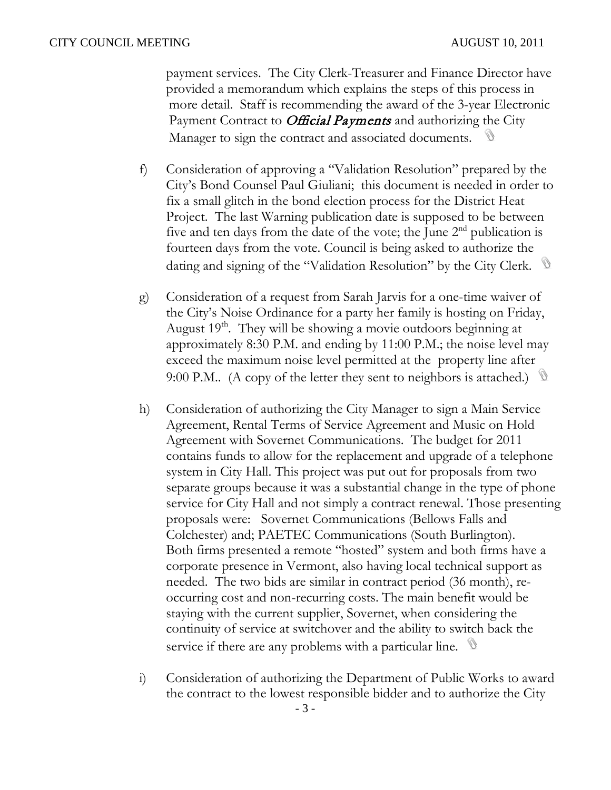payment services. The City Clerk-Treasurer and Finance Director have provided a memorandum which explains the steps of this process in more detail. Staff is recommending the award of the 3-year Electronic Payment Contract to *Official Payments* and authorizing the City Manager to sign the contract and associated documents.

- f) Consideration of approving a "Validation Resolution" prepared by the City's Bond Counsel Paul Giuliani; this document is needed in order to fix a small glitch in the bond election process for the District Heat Project. The last Warning publication date is supposed to be between five and ten days from the date of the vote; the June  $2<sup>nd</sup>$  publication is fourteen days from the vote. Council is being asked to authorize the dating and signing of the "Validation Resolution" by the City Clerk.
- g) Consideration of a request from Sarah Jarvis for a one-time waiver of the City's Noise Ordinance for a party her family is hosting on Friday, August 19<sup>th</sup>. They will be showing a movie outdoors beginning at approximately 8:30 P.M. and ending by 11:00 P.M.; the noise level may exceed the maximum noise level permitted at the property line after 9:00 P.M.. (A copy of the letter they sent to neighbors is attached.)  $\mathbb{S}$
- h) Consideration of authorizing the City Manager to sign a Main Service Agreement, Rental Terms of Service Agreement and Music on Hold Agreement with Sovernet Communications. The budget for 2011 contains funds to allow for the replacement and upgrade of a telephone system in City Hall. This project was put out for proposals from two separate groups because it was a substantial change in the type of phone service for City Hall and not simply a contract renewal. Those presenting proposals were: Sovernet Communications (Bellows Falls and Colchester) and; PAETEC Communications (South Burlington). Both firms presented a remote "hosted" system and both firms have a corporate presence in Vermont, also having local technical support as needed. The two bids are similar in contract period (36 month), reoccurring cost and non-recurring costs. The main benefit would be staying with the current supplier, Sovernet, when considering the continuity of service at switchover and the ability to switch back the service if there are any problems with a particular line.
- i) Consideration of authorizing the Department of Public Works to award the contract to the lowest responsible bidder and to authorize the City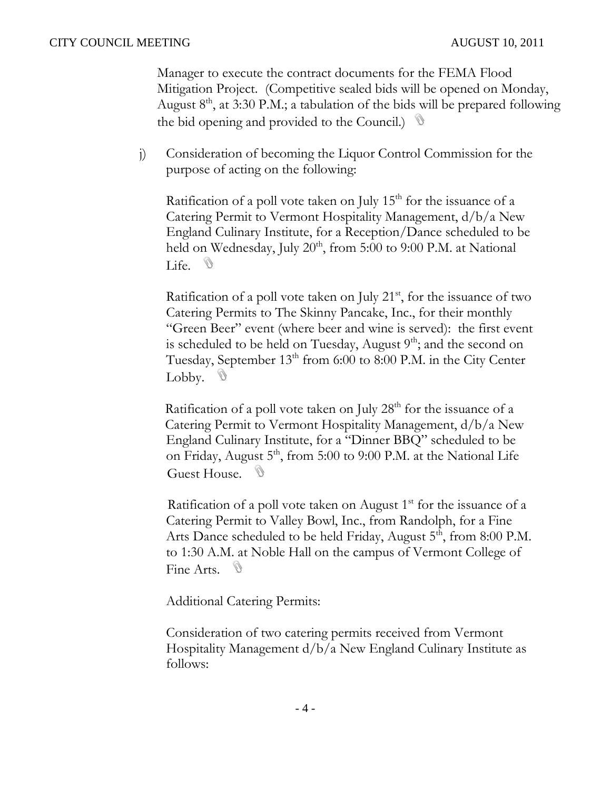Manager to execute the contract documents for the FEMA Flood Mitigation Project. (Competitive sealed bids will be opened on Monday, August  $8<sup>th</sup>$ , at 3:30 P.M.; a tabulation of the bids will be prepared following the bid opening and provided to the Council.)

j) Consideration of becoming the Liquor Control Commission for the purpose of acting on the following:

Ratification of a poll vote taken on July  $15<sup>th</sup>$  for the issuance of a Catering Permit to Vermont Hospitality Management, d/b/a New England Culinary Institute, for a Reception/Dance scheduled to be held on Wednesday, July  $20<sup>th</sup>$ , from 5:00 to 9:00 P.M. at National Life.  $\mathcal{D}$ 

Ratification of a poll vote taken on July  $21<sup>st</sup>$ , for the issuance of two Catering Permits to The Skinny Pancake, Inc., for their monthly "Green Beer" event (where beer and wine is served): the first event is scheduled to be held on Tuesday, August  $9<sup>th</sup>$ ; and the second on Tuesday, September  $13<sup>th</sup>$  from 6:00 to 8:00 P.M. in the City Center Lobby.  $\mathbb{D}$ 

Ratification of a poll vote taken on July  $28<sup>th</sup>$  for the issuance of a Catering Permit to Vermont Hospitality Management, d/b/a New England Culinary Institute, for a "Dinner BBQ" scheduled to be on Friday, August  $5<sup>th</sup>$ , from 5:00 to 9:00 P.M. at the National Life Guest House. <sup>10</sup>

Ratification of a poll vote taken on August  $1<sup>st</sup>$  for the issuance of a Catering Permit to Valley Bowl, Inc., from Randolph, for a Fine Arts Dance scheduled to be held Friday, August 5<sup>th</sup>, from 8:00 P.M. to 1:30 A.M. at Noble Hall on the campus of Vermont College of Fine Arts. <sup>10</sup>

Additional Catering Permits:

Consideration of two catering permits received from Vermont Hospitality Management d/b/a New England Culinary Institute as follows: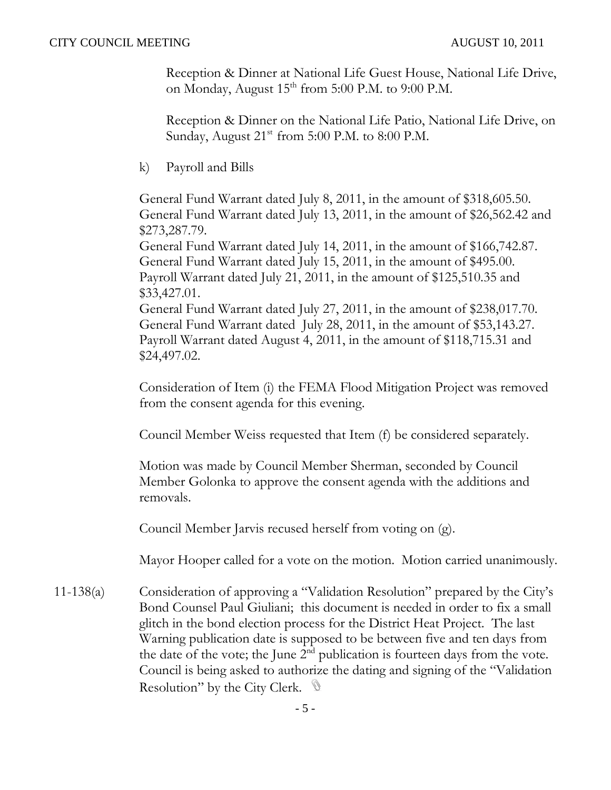Reception & Dinner at National Life Guest House, National Life Drive, on Monday, August  $15^{th}$  from 5:00 P.M. to 9:00 P.M.

Reception & Dinner on the National Life Patio, National Life Drive, on Sunday, August  $21<sup>st</sup>$  from 5:00 P.M. to 8:00 P.M.

k) Payroll and Bills

General Fund Warrant dated July 8, 2011, in the amount of \$318,605.50. General Fund Warrant dated July 13, 2011, in the amount of \$26,562.42 and \$273,287.79.

General Fund Warrant dated July 14, 2011, in the amount of \$166,742.87. General Fund Warrant dated July 15, 2011, in the amount of \$495.00. Payroll Warrant dated July 21, 2011, in the amount of \$125,510.35 and \$33,427.01.

General Fund Warrant dated July 27, 2011, in the amount of \$238,017.70. General Fund Warrant dated July 28, 2011, in the amount of \$53,143.27. Payroll Warrant dated August 4, 2011, in the amount of \$118,715.31 and \$24,497.02.

Consideration of Item (i) the FEMA Flood Mitigation Project was removed from the consent agenda for this evening.

Council Member Weiss requested that Item (f) be considered separately.

Motion was made by Council Member Sherman, seconded by Council Member Golonka to approve the consent agenda with the additions and removals.

Council Member Jarvis recused herself from voting on (g).

Mayor Hooper called for a vote on the motion. Motion carried unanimously.

11-138(a) Consideration of approving a "Validation Resolution" prepared by the City's Bond Counsel Paul Giuliani; this document is needed in order to fix a small glitch in the bond election process for the District Heat Project. The last Warning publication date is supposed to be between five and ten days from the date of the vote; the June  $2<sup>nd</sup>$  publication is fourteen days from the vote. Council is being asked to authorize the dating and signing of the "Validation Resolution" by the City Clerk.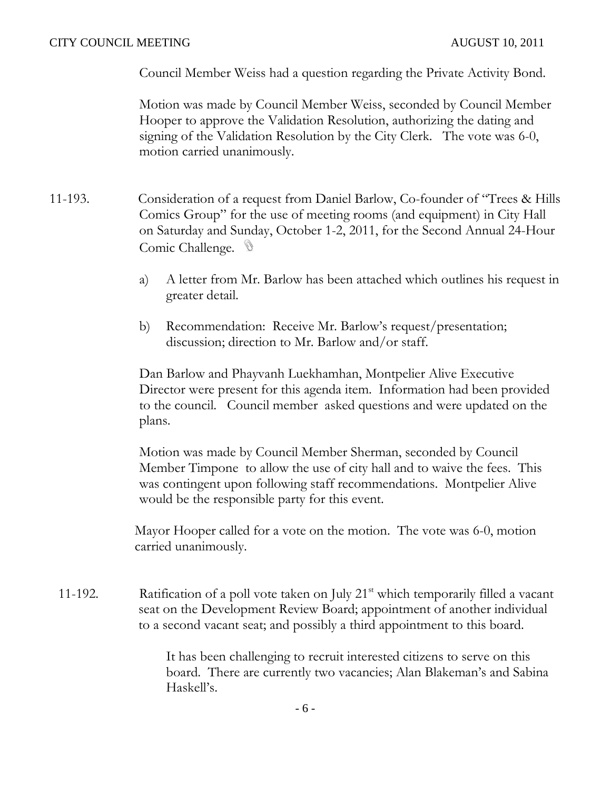Council Member Weiss had a question regarding the Private Activity Bond.

Motion was made by Council Member Weiss, seconded by Council Member Hooper to approve the Validation Resolution, authorizing the dating and signing of the Validation Resolution by the City Clerk. The vote was 6-0, motion carried unanimously.

- 11-193. Consideration of a request from Daniel Barlow, Co-founder of "Trees & Hills Comics Group" for the use of meeting rooms (and equipment) in City Hall on Saturday and Sunday, October 1-2, 2011, for the Second Annual 24-Hour Comic Challenge.
	- a) A letter from Mr. Barlow has been attached which outlines his request in greater detail.
	- b) Recommendation: Receive Mr. Barlow's request/presentation; discussion; direction to Mr. Barlow and/or staff.

Dan Barlow and Phayvanh Luekhamhan, Montpelier Alive Executive Director were present for this agenda item. Information had been provided to the council. Council member asked questions and were updated on the plans.

Motion was made by Council Member Sherman, seconded by Council Member Timpone to allow the use of city hall and to waive the fees. This was contingent upon following staff recommendations. Montpelier Alive would be the responsible party for this event.

Mayor Hooper called for a vote on the motion. The vote was 6-0, motion carried unanimously.

11-192. Ratification of a poll vote taken on July  $21<sup>st</sup>$  which temporarily filled a vacant seat on the Development Review Board; appointment of another individual to a second vacant seat; and possibly a third appointment to this board.

> It has been challenging to recruit interested citizens to serve on this board. There are currently two vacancies; Alan Blakeman's and Sabina Haskell's.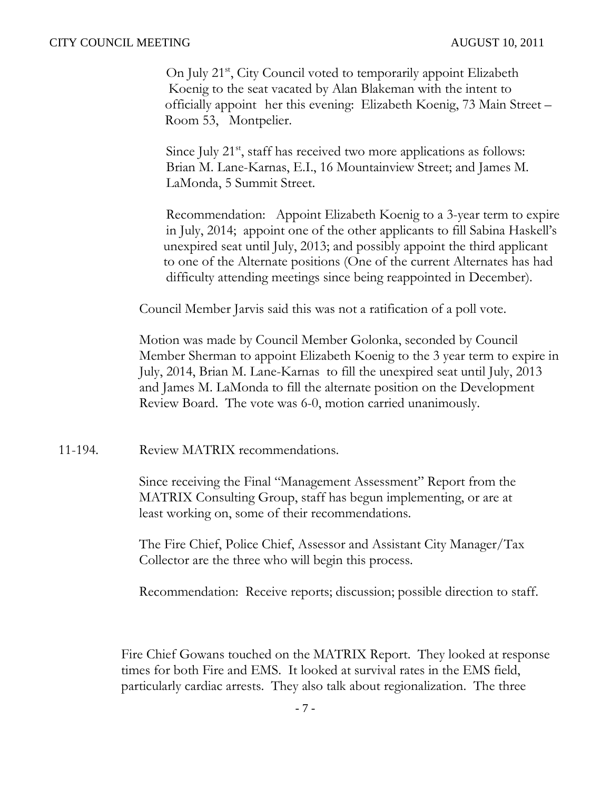On July 21<sup>st</sup>, City Council voted to temporarily appoint Elizabeth Koenig to the seat vacated by Alan Blakeman with the intent to officially appoint her this evening: Elizabeth Koenig, 73 Main Street – Room 53, Montpelier.

Since July  $21<sup>st</sup>$ , staff has received two more applications as follows: Brian M. Lane-Karnas, E.I., 16 Mountainview Street; and James M. LaMonda, 5 Summit Street.

Recommendation: Appoint Elizabeth Koenig to a 3-year term to expire in July, 2014; appoint one of the other applicants to fill Sabina Haskell's unexpired seat until July, 2013; and possibly appoint the third applicant to one of the Alternate positions (One of the current Alternates has had difficulty attending meetings since being reappointed in December).

Council Member Jarvis said this was not a ratification of a poll vote.

Motion was made by Council Member Golonka, seconded by Council Member Sherman to appoint Elizabeth Koenig to the 3 year term to expire in July, 2014, Brian M. Lane-Karnas to fill the unexpired seat until July, 2013 and James M. LaMonda to fill the alternate position on the Development Review Board. The vote was 6-0, motion carried unanimously.

11-194. Review MATRIX recommendations.

Since receiving the Final "Management Assessment" Report from the MATRIX Consulting Group, staff has begun implementing, or are at least working on, some of their recommendations.

The Fire Chief, Police Chief, Assessor and Assistant City Manager/Tax Collector are the three who will begin this process.

Recommendation: Receive reports; discussion; possible direction to staff.

Fire Chief Gowans touched on the MATRIX Report. They looked at response times for both Fire and EMS. It looked at survival rates in the EMS field, particularly cardiac arrests. They also talk about regionalization. The three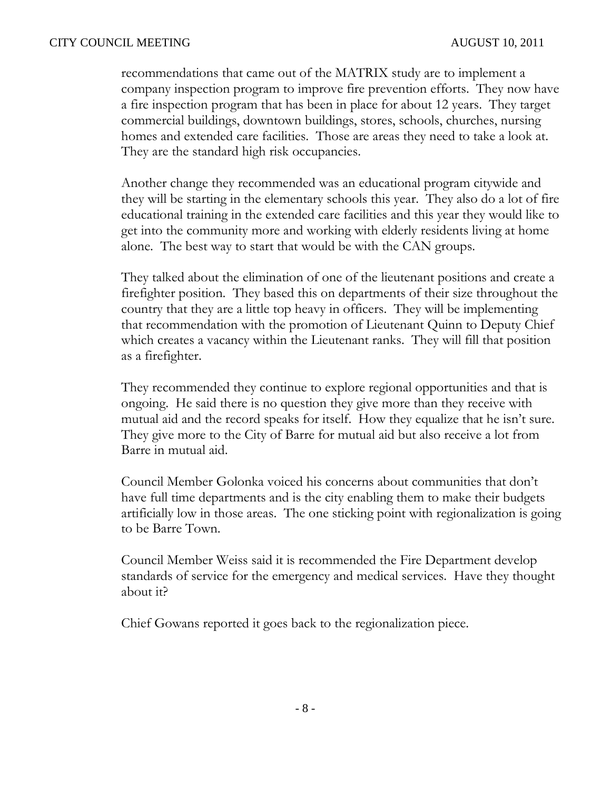recommendations that came out of the MATRIX study are to implement a company inspection program to improve fire prevention efforts. They now have a fire inspection program that has been in place for about 12 years. They target commercial buildings, downtown buildings, stores, schools, churches, nursing homes and extended care facilities. Those are areas they need to take a look at. They are the standard high risk occupancies.

Another change they recommended was an educational program citywide and they will be starting in the elementary schools this year. They also do a lot of fire educational training in the extended care facilities and this year they would like to get into the community more and working with elderly residents living at home alone. The best way to start that would be with the CAN groups.

They talked about the elimination of one of the lieutenant positions and create a firefighter position. They based this on departments of their size throughout the country that they are a little top heavy in officers. They will be implementing that recommendation with the promotion of Lieutenant Quinn to Deputy Chief which creates a vacancy within the Lieutenant ranks. They will fill that position as a firefighter.

They recommended they continue to explore regional opportunities and that is ongoing. He said there is no question they give more than they receive with mutual aid and the record speaks for itself. How they equalize that he isn't sure. They give more to the City of Barre for mutual aid but also receive a lot from Barre in mutual aid.

Council Member Golonka voiced his concerns about communities that don't have full time departments and is the city enabling them to make their budgets artificially low in those areas. The one sticking point with regionalization is going to be Barre Town.

Council Member Weiss said it is recommended the Fire Department develop standards of service for the emergency and medical services. Have they thought about it?

Chief Gowans reported it goes back to the regionalization piece.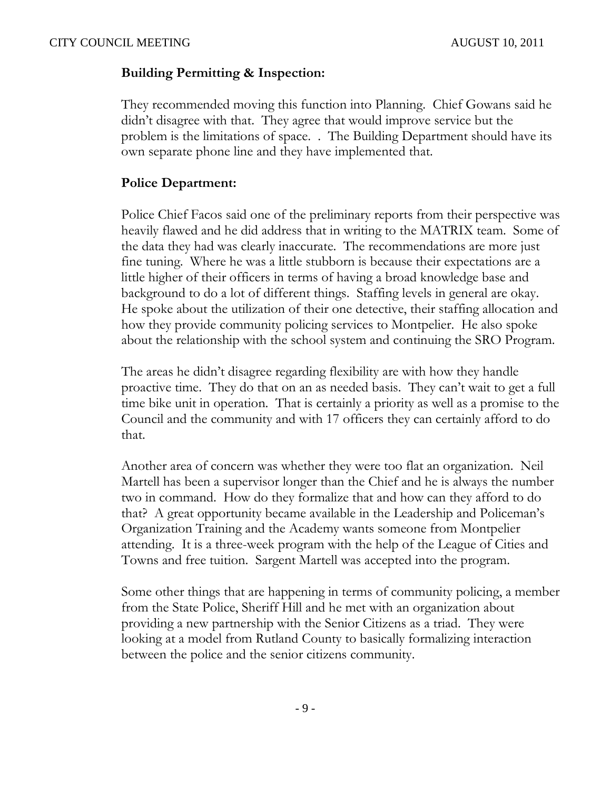# **Building Permitting & Inspection:**

They recommended moving this function into Planning. Chief Gowans said he didn't disagree with that. They agree that would improve service but the problem is the limitations of space. . The Building Department should have its own separate phone line and they have implemented that.

# **Police Department:**

Police Chief Facos said one of the preliminary reports from their perspective was heavily flawed and he did address that in writing to the MATRIX team. Some of the data they had was clearly inaccurate. The recommendations are more just fine tuning. Where he was a little stubborn is because their expectations are a little higher of their officers in terms of having a broad knowledge base and background to do a lot of different things. Staffing levels in general are okay. He spoke about the utilization of their one detective, their staffing allocation and how they provide community policing services to Montpelier. He also spoke about the relationship with the school system and continuing the SRO Program.

The areas he didn't disagree regarding flexibility are with how they handle proactive time. They do that on an as needed basis. They can't wait to get a full time bike unit in operation. That is certainly a priority as well as a promise to the Council and the community and with 17 officers they can certainly afford to do that.

Another area of concern was whether they were too flat an organization. Neil Martell has been a supervisor longer than the Chief and he is always the number two in command. How do they formalize that and how can they afford to do that? A great opportunity became available in the Leadership and Policeman's Organization Training and the Academy wants someone from Montpelier attending. It is a three-week program with the help of the League of Cities and Towns and free tuition. Sargent Martell was accepted into the program.

Some other things that are happening in terms of community policing, a member from the State Police, Sheriff Hill and he met with an organization about providing a new partnership with the Senior Citizens as a triad. They were looking at a model from Rutland County to basically formalizing interaction between the police and the senior citizens community.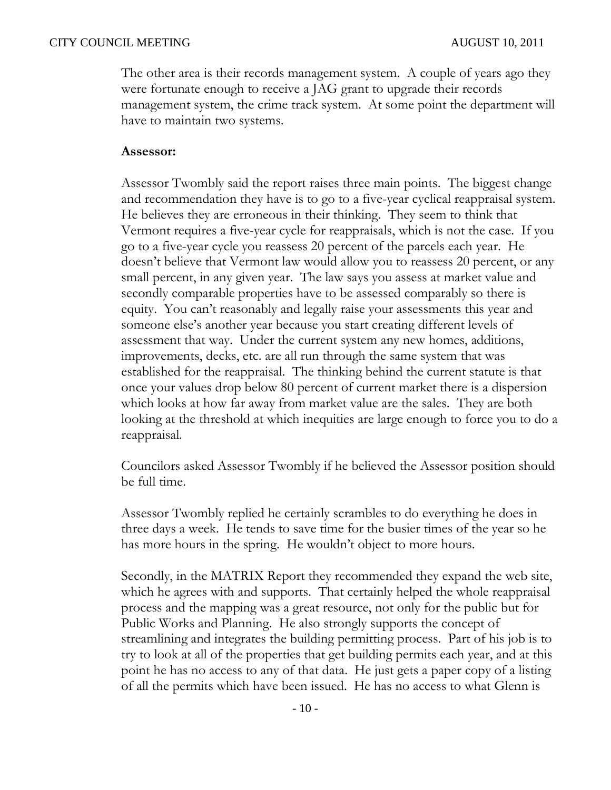The other area is their records management system. A couple of years ago they were fortunate enough to receive a JAG grant to upgrade their records management system, the crime track system. At some point the department will have to maintain two systems.

## **Assessor:**

Assessor Twombly said the report raises three main points. The biggest change and recommendation they have is to go to a five-year cyclical reappraisal system. He believes they are erroneous in their thinking. They seem to think that Vermont requires a five-year cycle for reappraisals, which is not the case. If you go to a five-year cycle you reassess 20 percent of the parcels each year. He doesn't believe that Vermont law would allow you to reassess 20 percent, or any small percent, in any given year. The law says you assess at market value and secondly comparable properties have to be assessed comparably so there is equity. You can't reasonably and legally raise your assessments this year and someone else's another year because you start creating different levels of assessment that way. Under the current system any new homes, additions, improvements, decks, etc. are all run through the same system that was established for the reappraisal. The thinking behind the current statute is that once your values drop below 80 percent of current market there is a dispersion which looks at how far away from market value are the sales. They are both looking at the threshold at which inequities are large enough to force you to do a reappraisal.

Councilors asked Assessor Twombly if he believed the Assessor position should be full time.

Assessor Twombly replied he certainly scrambles to do everything he does in three days a week. He tends to save time for the busier times of the year so he has more hours in the spring. He wouldn't object to more hours.

Secondly, in the MATRIX Report they recommended they expand the web site, which he agrees with and supports. That certainly helped the whole reappraisal process and the mapping was a great resource, not only for the public but for Public Works and Planning. He also strongly supports the concept of streamlining and integrates the building permitting process. Part of his job is to try to look at all of the properties that get building permits each year, and at this point he has no access to any of that data. He just gets a paper copy of a listing of all the permits which have been issued. He has no access to what Glenn is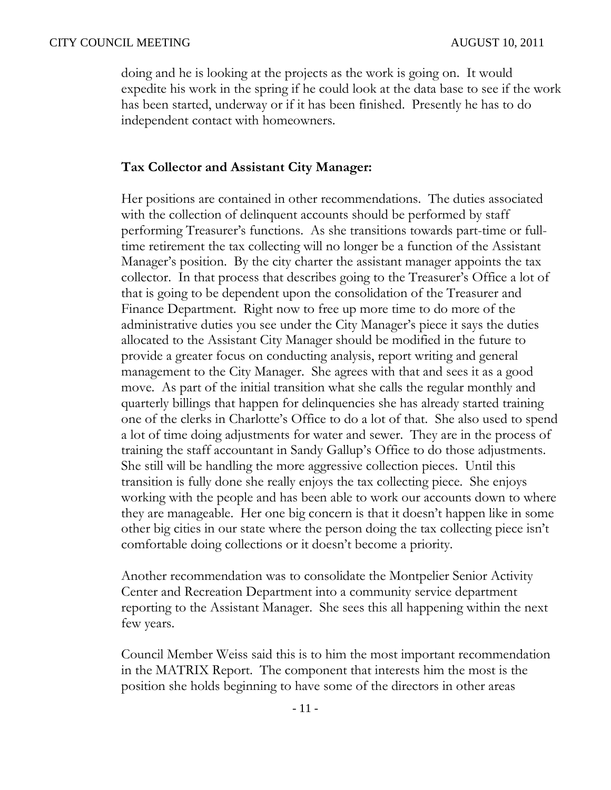doing and he is looking at the projects as the work is going on. It would expedite his work in the spring if he could look at the data base to see if the work has been started, underway or if it has been finished. Presently he has to do independent contact with homeowners.

## **Tax Collector and Assistant City Manager:**

Her positions are contained in other recommendations. The duties associated with the collection of delinquent accounts should be performed by staff performing Treasurer's functions. As she transitions towards part-time or fulltime retirement the tax collecting will no longer be a function of the Assistant Manager's position. By the city charter the assistant manager appoints the tax collector. In that process that describes going to the Treasurer's Office a lot of that is going to be dependent upon the consolidation of the Treasurer and Finance Department. Right now to free up more time to do more of the administrative duties you see under the City Manager's piece it says the duties allocated to the Assistant City Manager should be modified in the future to provide a greater focus on conducting analysis, report writing and general management to the City Manager. She agrees with that and sees it as a good move. As part of the initial transition what she calls the regular monthly and quarterly billings that happen for delinquencies she has already started training one of the clerks in Charlotte's Office to do a lot of that. She also used to spend a lot of time doing adjustments for water and sewer. They are in the process of training the staff accountant in Sandy Gallup's Office to do those adjustments. She still will be handling the more aggressive collection pieces. Until this transition is fully done she really enjoys the tax collecting piece. She enjoys working with the people and has been able to work our accounts down to where they are manageable. Her one big concern is that it doesn't happen like in some other big cities in our state where the person doing the tax collecting piece isn't comfortable doing collections or it doesn't become a priority.

Another recommendation was to consolidate the Montpelier Senior Activity Center and Recreation Department into a community service department reporting to the Assistant Manager. She sees this all happening within the next few years.

Council Member Weiss said this is to him the most important recommendation in the MATRIX Report. The component that interests him the most is the position she holds beginning to have some of the directors in other areas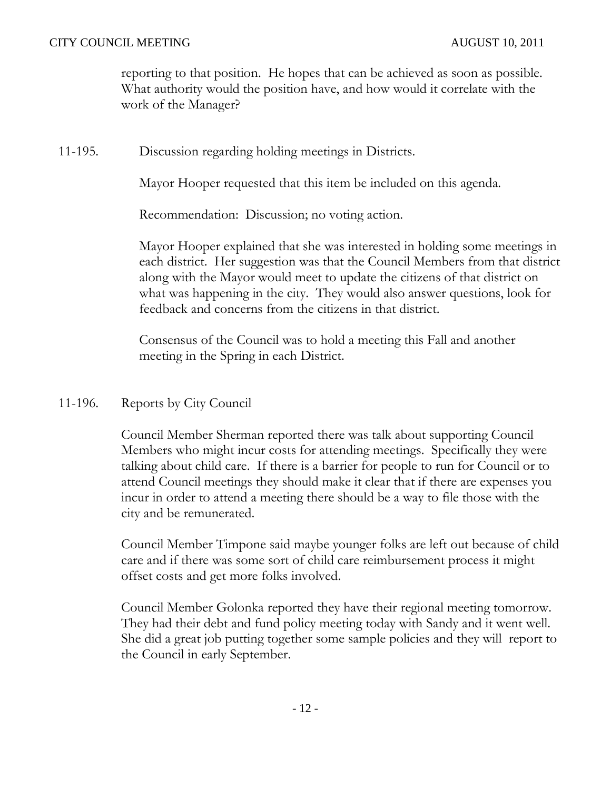reporting to that position. He hopes that can be achieved as soon as possible. What authority would the position have, and how would it correlate with the work of the Manager?

11-195. Discussion regarding holding meetings in Districts.

Mayor Hooper requested that this item be included on this agenda.

Recommendation: Discussion; no voting action.

Mayor Hooper explained that she was interested in holding some meetings in each district. Her suggestion was that the Council Members from that district along with the Mayor would meet to update the citizens of that district on what was happening in the city. They would also answer questions, look for feedback and concerns from the citizens in that district.

Consensus of the Council was to hold a meeting this Fall and another meeting in the Spring in each District.

# 11-196. Reports by City Council

Council Member Sherman reported there was talk about supporting Council Members who might incur costs for attending meetings. Specifically they were talking about child care. If there is a barrier for people to run for Council or to attend Council meetings they should make it clear that if there are expenses you incur in order to attend a meeting there should be a way to file those with the city and be remunerated.

Council Member Timpone said maybe younger folks are left out because of child care and if there was some sort of child care reimbursement process it might offset costs and get more folks involved.

Council Member Golonka reported they have their regional meeting tomorrow. They had their debt and fund policy meeting today with Sandy and it went well. She did a great job putting together some sample policies and they will report to the Council in early September.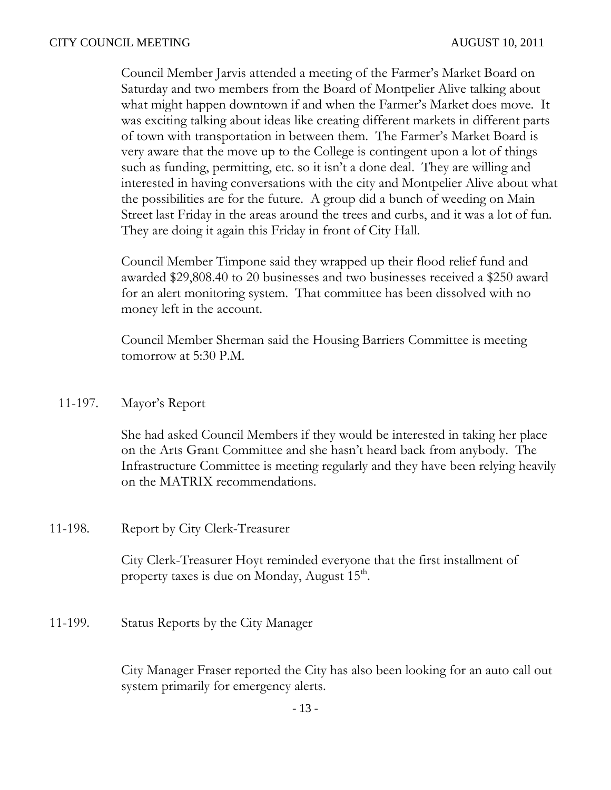Council Member Jarvis attended a meeting of the Farmer's Market Board on Saturday and two members from the Board of Montpelier Alive talking about what might happen downtown if and when the Farmer's Market does move. It was exciting talking about ideas like creating different markets in different parts of town with transportation in between them. The Farmer's Market Board is very aware that the move up to the College is contingent upon a lot of things such as funding, permitting, etc. so it isn't a done deal. They are willing and interested in having conversations with the city and Montpelier Alive about what the possibilities are for the future. A group did a bunch of weeding on Main Street last Friday in the areas around the trees and curbs, and it was a lot of fun. They are doing it again this Friday in front of City Hall.

Council Member Timpone said they wrapped up their flood relief fund and awarded \$29,808.40 to 20 businesses and two businesses received a \$250 award for an alert monitoring system. That committee has been dissolved with no money left in the account.

Council Member Sherman said the Housing Barriers Committee is meeting tomorrow at 5:30 P.M.

11-197. Mayor's Report

She had asked Council Members if they would be interested in taking her place on the Arts Grant Committee and she hasn't heard back from anybody. The Infrastructure Committee is meeting regularly and they have been relying heavily on the MATRIX recommendations.

11-198. Report by City Clerk-Treasurer

City Clerk-Treasurer Hoyt reminded everyone that the first installment of property taxes is due on Monday, August  $15<sup>th</sup>$ .

11-199. Status Reports by the City Manager

City Manager Fraser reported the City has also been looking for an auto call out system primarily for emergency alerts.